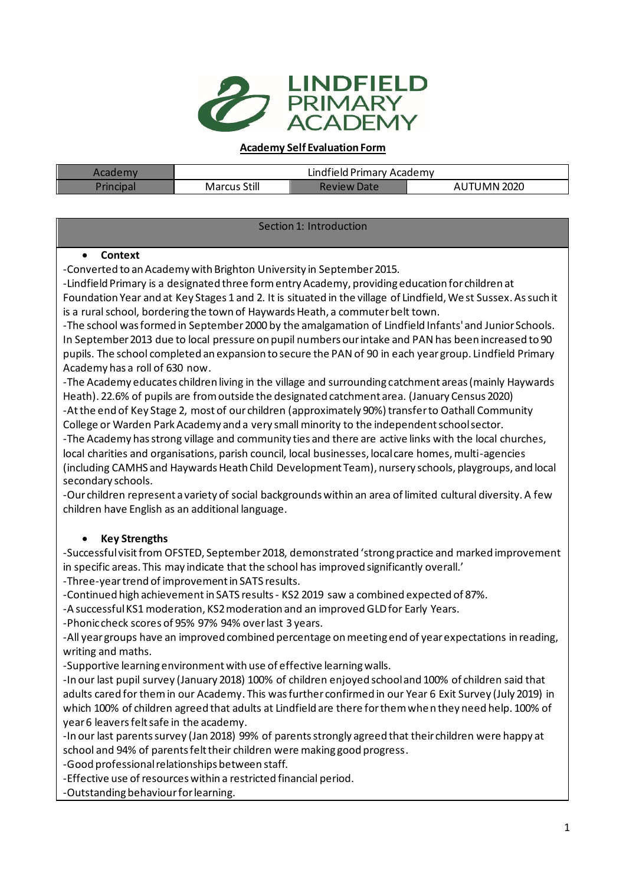

#### **Academy Self Evaluation Form**

| Academy   |                     | Lindfield Primary Academy |             |
|-----------|---------------------|---------------------------|-------------|
| Principa. | <b>Marcus Still</b> | Review Date               | AUTUMN 2020 |

#### Section 1: Introduction

#### • **Context**

-Converted to an Academy with Brighton University in September 2015.

-Lindfield Primary is a designated three form entry Academy, providing education for children at Foundation Year and at Key Stages 1 and 2. It is situated in the village of Lindfield, We st Sussex. As such it is a rural school, bordering the town of Haywards Heath, a commuter belt town.

-The school was formed in September 2000 by the amalgamation of Lindfield Infants' and Junior Schools. In September 2013 due to local pressure on pupil numbers our intake and PAN has been increased to 90 pupils. The school completed an expansion to secure the PAN of 90 in each year group. Lindfield Primary Academy has a roll of 630 now.

-The Academy educates children living in the village and surrounding catchment areas (mainly Haywards Heath). 22.6% of pupils are from outside the designated catchment area. (January Census 2020) -At the end of Key Stage 2, most of our children (approximately 90%) transfer to Oathall Community College or Warden Park Academy and a very small minority to the independent school sector.

-The Academy has strong village and community ties and there are active links with the local churches, local charities and organisations, parish council, local businesses, local care homes, multi-agencies (including CAMHS and Haywards Heath Child Development Team), nursery schools, playgroups, and local secondary schools.

-Our children represent a variety of social backgrounds within an area of limited cultural diversity. A few children have English as an additional language.

### • **Key Strengths**

-Successful visit from OFSTED, September 2018, demonstrated 'strong practice and marked improvement in specific areas. This may indicate that the school has improved significantly overall.' -Three-yeartrend of improvement in SATS results.

-Continued high achievement in SATS results- KS2 2019 saw a combined expected of 87%.

-A successful KS1 moderation, KS2 moderation and an improved GLD for Early Years.

-Phonic check scores of 95% 97% 94% over last 3 years.

-All year groups have an improved combined percentage on meeting end of year expectations in reading, writing and maths.

-Supportive learning environment with use of effective learning walls.

-In our last pupil survey (January 2018) 100% of children enjoyed school and 100% of children said that adults cared for them in our Academy. This was further confirmed in our Year 6 Exit Survey (July 2019) in which 100% of children agreed that adults at Lindfield are there for them when they need help. 100% of year 6 leavers felt safe in the academy.

-In our last parents survey (Jan 2018) 99% of parents strongly agreed that their children were happy at school and 94% of parents felt their children were making good progress.

-Good professional relationships between staff.

-Effective use of resources within a restricted financial period.

-Outstanding behaviour for learning.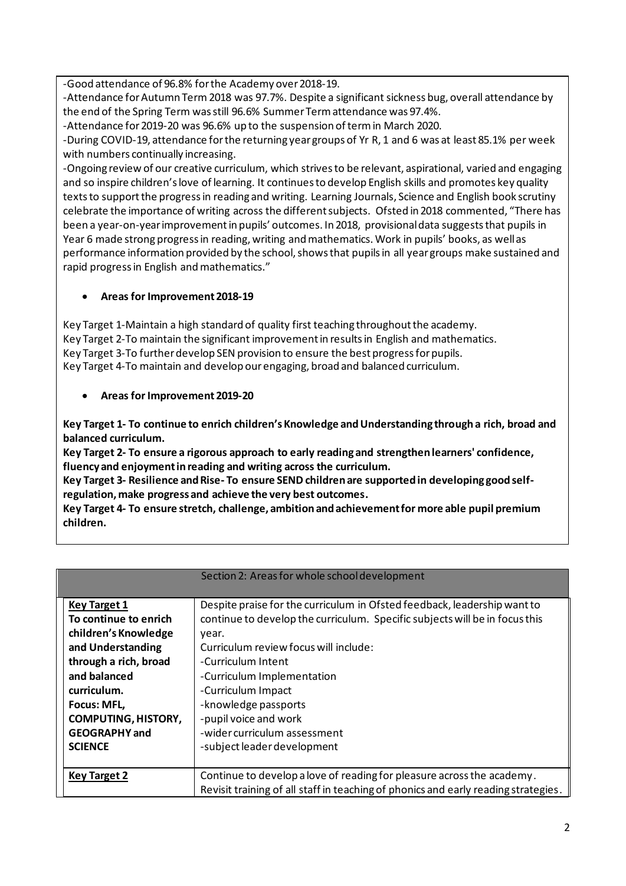-Good attendance of 96.8% for the Academy over 2018-19.

-Attendance for Autumn Term 2018 was 97.7%. Despite a significant sickness bug, overall attendance by the end of the Spring Term was still 96.6% Summer Term attendance was 97.4%.

-Attendance for 2019-20 was 96.6% up to the suspension of term in March 2020.

-During COVID-19, attendance for the returning year groups of Yr R, 1 and 6 was at least 85.1% per week with numbers continually increasing.

-Ongoing review of our creative curriculum, which strives to be relevant, aspirational, varied and engaging and so inspire children's love of learning. It continues to develop English skills and promotes key quality texts to support the progress in reading and writing. Learning Journals, Science and English book scrutiny celebrate the importance of writing across the different subjects. Ofsted in 2018 commented, "There has been a year-on-year improvement in pupils' outcomes. In 2018, provisional data suggests that pupils in Year 6 made strong progress in reading, writing and mathematics. Work in pupils' books, as well as performance information provided by the school, shows that pupils in all year groups make sustained and rapid progress in English and mathematics."

#### • **Areas for Improvement 2018-19**

Key Target 1-Maintain a high standard of quality first teaching throughout the academy. Key Target 2-To maintain the significant improvement in results in English and mathematics. Key Target 3-To further develop SEN provision to ensure the best progress for pupils. Key Target 4-To maintain and develop our engaging, broad and balanced curriculum.

#### • **Areas for Improvement 2019-20**

**Key Target 1- To continue to enrich children's Knowledge and Understanding through a rich, broad and balanced curriculum.**

**Key Target 2- To ensure a rigorous approach to early reading and strengthen learners' confidence, fluency and enjoyment in reading and writing across the curriculum.**

**Key Target 3- Resilience and Rise- To ensure SEND children are supported in developing good selfregulation, make progress and achieve the very best outcomes.**

**Key Target 4- To ensure stretch, challenge, ambition and achievement for more able pupil premium children.**

|                            | Section 2: Areas for whole school development                                      |
|----------------------------|------------------------------------------------------------------------------------|
|                            |                                                                                    |
| <b>Key Target 1</b>        | Despite praise for the curriculum in Ofsted feedback, leadership want to           |
| To continue to enrich      | continue to develop the curriculum. Specific subjects will be in focus this        |
| children's Knowledge       | year.                                                                              |
| and Understanding          | Curriculum review focus will include:                                              |
| through a rich, broad      | -Curriculum Intent                                                                 |
| and balanced               | -Curriculum Implementation                                                         |
| curriculum.                | -Curriculum Impact                                                                 |
| Focus: MFL,                | -knowledge passports                                                               |
| <b>COMPUTING, HISTORY,</b> | -pupil voice and work                                                              |
| <b>GEOGRAPHY</b> and       | -wider curriculum assessment                                                       |
| <b>SCIENCE</b>             | -subject leader development                                                        |
|                            |                                                                                    |
| Key Target 2               | Continue to develop a love of reading for pleasure across the academy.             |
|                            | Revisit training of all staff in teaching of phonics and early reading strategies. |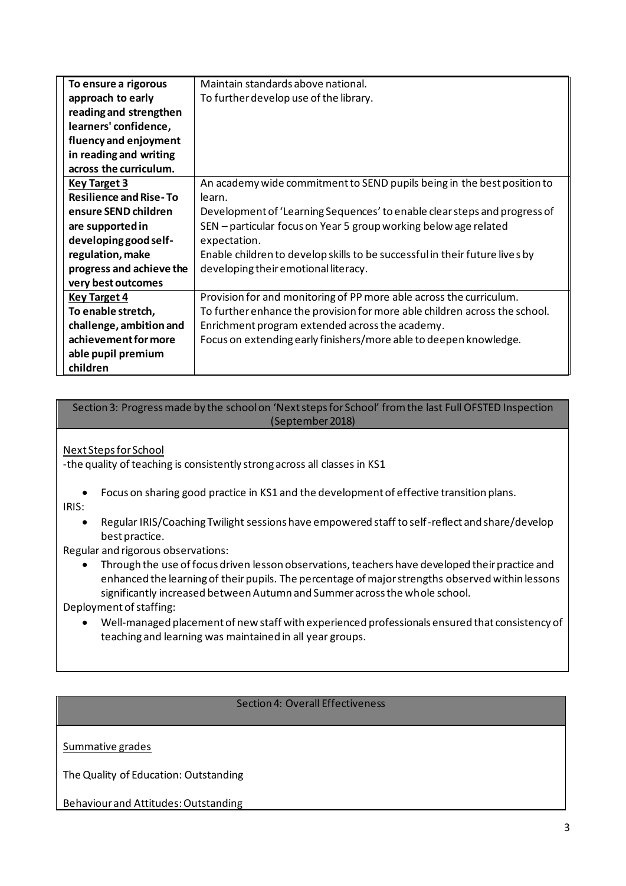| To ensure a rigorous          | Maintain standards above national.                                          |
|-------------------------------|-----------------------------------------------------------------------------|
| approach to early             | To further develop use of the library.                                      |
| reading and strengthen        |                                                                             |
| learners' confidence,         |                                                                             |
| fluency and enjoyment         |                                                                             |
| in reading and writing        |                                                                             |
| across the curriculum.        |                                                                             |
| <b>Key Target 3</b>           | An academy wide commitment to SEND pupils being in the best position to     |
| <b>Resilience and Rise-To</b> | learn.                                                                      |
| ensure SEND children          | Development of 'Learning Sequences' to enable clear steps and progress of   |
| are supported in              | SEN – particular focus on Year 5 group working below age related            |
| developing good self-         | expectation.                                                                |
| regulation, make              | Enable children to develop skills to be successful in their future lives by |
| progress and achieve the      | developing their emotional literacy.                                        |
| very best outcomes            |                                                                             |
| <b>Key Target 4</b>           | Provision for and monitoring of PP more able across the curriculum.         |
| To enable stretch,            | To further enhance the provision for more able children across the school.  |
| challenge, ambition and       | Enrichment program extended across the academy.                             |
| achievement for more          | Focus on extending early finishers/more able to deepen knowledge.           |
| able pupil premium            |                                                                             |
| children                      |                                                                             |

#### Section 3: Progress made by the school on 'Next steps for School' from the last Full OFSTED Inspection (September 2018)

Next Steps for School

-the quality of teaching is consistently strong across all classes in KS1

- Focus on sharing good practice in KS1 and the development of effective transition plans. IRIS:
	- Regular IRIS/Coaching Twilight sessions have empowered staff to self-reflect and share/develop best practice.

Regular and rigorous observations:

• Through the use of focus driven lesson observations, teachers have developed their practice and enhanced the learning of their pupils. The percentage of major strengths observed within lessons significantly increased between Autumn and Summer across the whole school.

Deployment of staffing:

• Well-managed placement of new staff with experienced professionals ensured that consistency of teaching and learning was maintained in all year groups.

### Section 4: Overall Effectiveness

Summative grades

The Quality of Education: Outstanding

Behaviour and Attitudes: Outstanding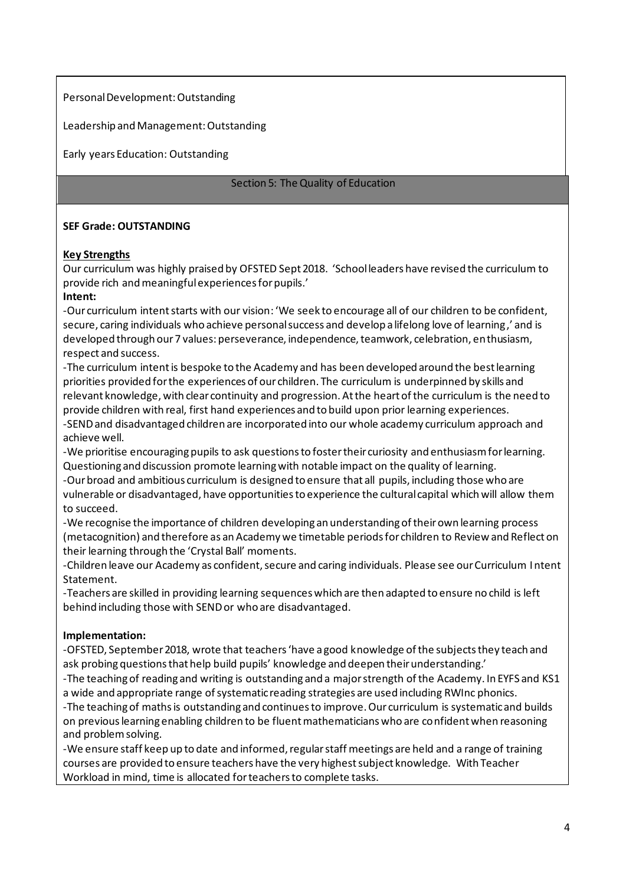#### Personal Development: Outstanding

Leadership and Management: Outstanding

Early years Education: Outstanding

#### Section 5: The Quality of Education

#### **SEF Grade: OUTSTANDING**

#### **Key Strengths**

Our curriculum was highly praised by OFSTED Sept 2018. 'School leaders have revised the curriculum to provide rich and meaningful experiences for pupils.'

#### **Intent:**

-Our curriculum intent starts with our vision: 'We seek to encourage all of our children to be confident, secure, caring individuals who achieve personal success and develop a lifelong love of learning,' and is developed through our 7 values: perseverance, independence, teamwork, celebration, enthusiasm, respect and success.

-The curriculum intent is bespoke to the Academy and has been developed around the best learning priorities provided for the experiences of our children. The curriculum is underpinned by skills and relevant knowledge, with clear continuity and progression. At the heart of the curriculum is the need to provide children with real, first hand experiences and to build upon prior learning experiences. -SEND and disadvantaged children are incorporated into our whole academy curriculum approach and achieve well.

-We prioritise encouraging pupils to ask questions to foster their curiosity and enthusiasm for learning. Questioning and discussion promote learning with notable impact on the quality of learning.

-Our broad and ambitious curriculum is designed to ensure that all pupils, including those who are vulnerable or disadvantaged, have opportunities to experience the cultural capital which will allow them to succeed.

-We recognise the importance of children developing an understanding of their own learning process (metacognition) and therefore as an Academy we timetable periods for children to Review and Reflect on their learning through the 'Crystal Ball' moments.

-Children leave our Academy as confident, secure and caring individuals. Please see our Curriculum Intent Statement.

-Teachers are skilled in providing learning sequences which are then adapted to ensure no child is left behind including those with SEND or who are disadvantaged.

### **Implementation:**

-OFSTED, September 2018, wrote that teachers 'have a good knowledge of the subjects they teach and ask probing questions that help build pupils' knowledge and deepen their understanding.'

-The teaching of reading and writing is outstanding and a major strength of the Academy. In EYFS and KS1 a wide and appropriate range of systematic reading strategies are used including RWInc phonics.

-The teaching of maths is outstanding and continues to improve. Our curriculum is systematic and builds on previous learning enabling children to be fluent mathematicians who are confident when reasoning and problem solving.

-We ensure staff keep up to date and informed, regular staff meetings are held and a range of training courses are provided to ensure teachers have the very highest subject knowledge. With Teacher Workload in mind, time is allocated for teachers to complete tasks.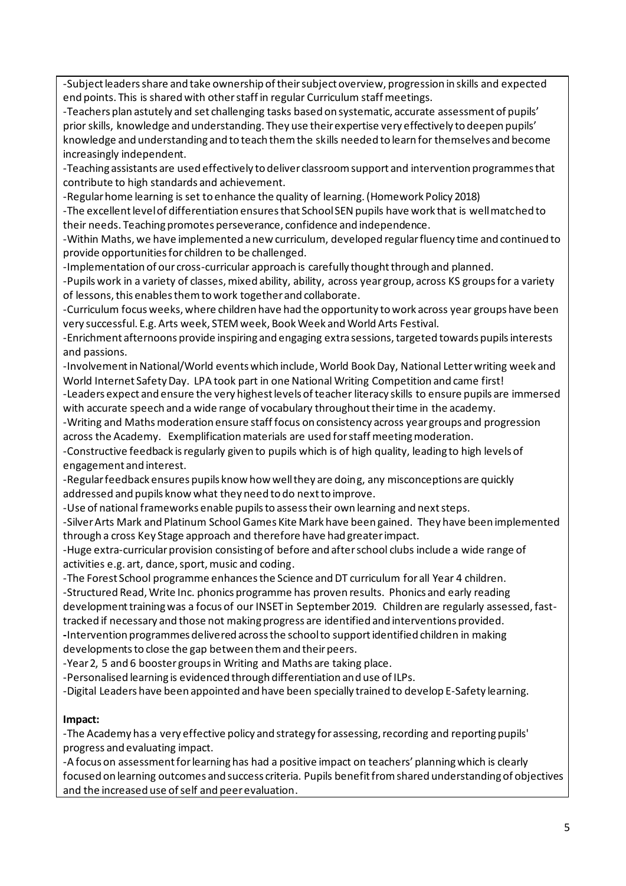-Subject leaders share and take ownership of their subject overview, progression in skills and expected end points. This is shared with other staff in regular Curriculum staff meetings.

-Teachers plan astutely and set challenging tasks based on systematic, accurate assessment of pupils' prior skills, knowledge and understanding. They use their expertise very effectively to deepen pupils' knowledge and understanding and to teach them the skills needed to learn for themselves and become increasingly independent.

-Teaching assistants are used effectively to deliver classroom support and intervention programmes that contribute to high standards and achievement.

-Regular home learning is set to enhance the quality of learning. (Homework Policy 2018)

-The excellent level of differentiation ensures that School SEN pupils have work that is well matched to their needs. Teaching promotes perseverance, confidence and independence.

-Within Maths, we have implemented a new curriculum, developed regular fluency time and continued to provide opportunities for children to be challenged.

-Implementation of our cross-curricular approach is carefully thought through and planned.

-Pupils work in a variety of classes, mixed ability, ability, across year group, across KS groups for a variety of lessons, this enables them to work together and collaborate.

-Curriculum focus weeks, where children have had the opportunity to work across year groups have been very successful. E.g. Arts week, STEM week, Book Week and World Arts Festival.

-Enrichment afternoons provide inspiring and engaging extra sessions, targeted towards pupils interests and passions.

-Involvement in National/World events which include, World Book Day, National Letter writing week and World Internet Safety Day. LPA took part in one National Writing Competition and came first!

-Leaders expect and ensure the very highest levels of teacher literacy skills to ensure pupils are immersed with accurate speech and a wide range of vocabulary throughout their time in the academy.

-Writing and Mathsmoderation ensure staff focus on consistency across year groups and progression across the Academy. Exemplification materials are used for staff meeting moderation.

-Constructive feedback is regularly given to pupils which is of high quality, leading to high levels of engagement and interest.

-Regular feedback ensures pupils know how well they are doing, any misconceptions are quickly addressed and pupils know what they need to do next to improve.

-Use of national frameworks enable pupils to assess their own learning and next steps.

-Silver Arts Mark and Platinum School Games Kite Mark have been gained. They have been implemented through a cross Key Stage approach and therefore have had greater impact.

-Huge extra-curricular provision consisting of before and after school clubs include a wide range of activities e.g. art, dance, sport, music and coding.

-The Forest School programme enhances the Science and DT curriculum for all Year 4 children. -Structured Read, Write Inc. phonics programme has proven results. Phonics and early reading development training was a focus of our INSET in September 2019. Children are regularly assessed, fasttracked if necessary and those not making progress are identified and interventions provided.

**-**Intervention programmes delivered across the school to support identified children in making developments to close the gap between them and their peers.

-Year 2, 5 and 6 booster groups in Writing and Maths are taking place.

-Personalised learning is evidenced through differentiation and use of ILPs.

-Digital Leaders have been appointed and have been specially trained to develop E-Safety learning.

### **Impact:**

-The Academy has a very effective policy and strategy for assessing, recording and reporting pupils' progress and evaluating impact.

-A focus on assessment for learning has had a positive impact on teachers' planning which is clearly focused on learning outcomes and success criteria. Pupils benefit from shared understanding of objectives and the increased use of self and peer evaluation.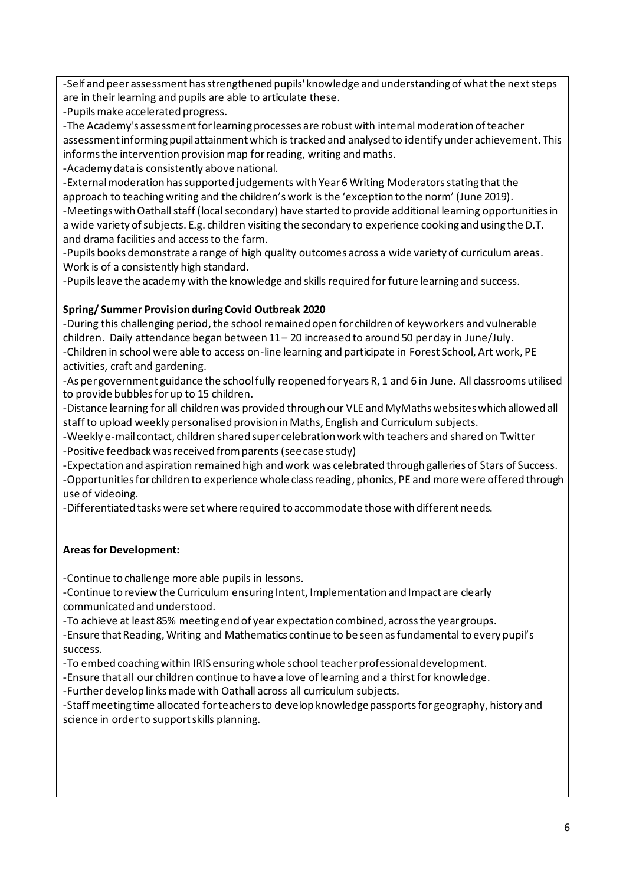-Self and peer assessment has strengthened pupils' knowledge and understanding of what the next steps are in their learning and pupils are able to articulate these.

-Pupils make accelerated progress.

-The Academy's assessment for learning processes are robust with internal moderation of teacher assessment informing pupil attainment which is tracked and analysed to identify under achievement. This informs the intervention provision map for reading, writing and maths.

-Academy data is consistently above national.

-External moderation has supported judgements with Year 6 Writing Moderators stating that the approach to teaching writing and the children's work is the 'exception to the norm' (June 2019).

-Meetings with Oathall staff (local secondary) have started to provide additional learning opportunities in a wide variety of subjects. E.g. children visiting the secondary to experience cooking and using the D.T. and drama facilities and access to the farm.

-Pupils books demonstrate a range of high quality outcomes across a wide variety of curriculum areas. Work is of a consistently high standard.

-Pupils leave the academy with the knowledge and skills required for future learning and success.

### **Spring/ Summer Provision during Covid Outbreak 2020**

-During this challenging period, the school remained open for children of keyworkers and vulnerable children. Daily attendance began between 11 – 20 increased to around 50 per day in June/July. -Children in school were able to access on-line learning and participate in Forest School, Art work, PE activities, craft and gardening.

-As per government guidance the school fully reopened for years R, 1 and 6 in June. All classrooms utilised to provide bubbles for up to 15 children.

-Distance learning for all children was provided through our VLE and MyMaths websites which allowed all staff to upload weekly personalised provision in Maths, English and Curriculum subjects.

-Weekly e-mail contact, children shared super celebration work with teachers and shared on Twitter -Positive feedback was received from parents (see case study)

-Expectation and aspiration remained high and work was celebrated through galleries of Stars of Success. -Opportunities for children to experience whole class reading, phonics, PE and more were offered through use of videoing.

-Differentiated tasks were set where required to accommodate those with different needs.

### **Areas for Development:**

-Continue to challenge more able pupils in lessons.

-Continue to review the Curriculum ensuring Intent, Implementation and Impact are clearly communicated and understood.

-To achieve at least 85% meeting end of year expectation combined, across the year groups.

-Ensure that Reading, Writing and Mathematics continue to be seen as fundamental to every pupil's success.

-To embed coaching within IRIS ensuring whole school teacher professional development.

-Ensure that all our children continue to have a love of learning and a thirst for knowledge.

-Further develop links made with Oathall across all curriculum subjects.

-Staff meeting time allocated for teachers to develop knowledge passports for geography, history and science in order to support skills planning.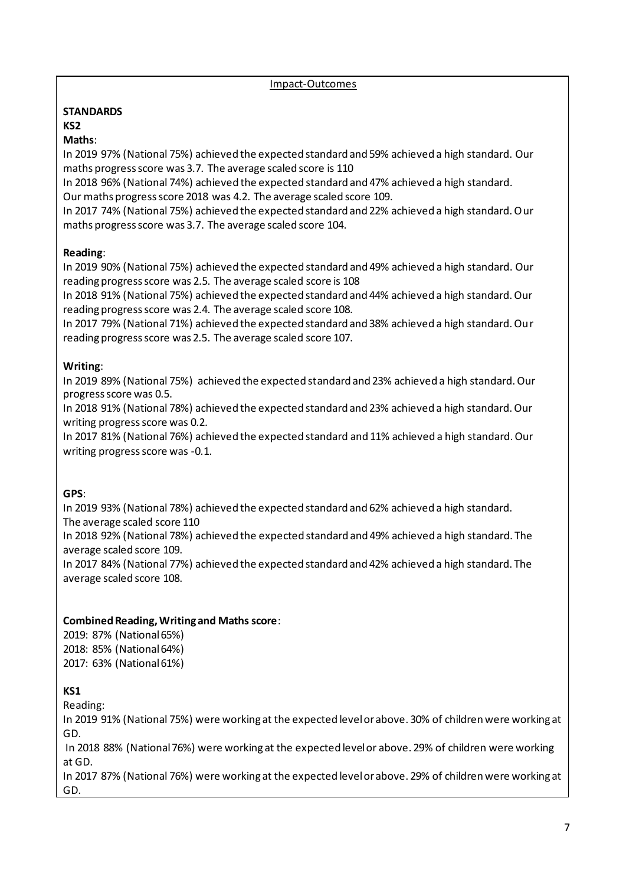Impact-Outcomes

#### **STANDARDS KS2**

### **Maths**:

In 2019 97% (National 75%) achieved the expected standard and 59% achieved a high standard. Our maths progress score was 3.7. The average scaled score is 110

In 2018 96% (National 74%) achieved the expected standard and 47% achieved a high standard. Our maths progress score 2018 was 4.2. The average scaled score 109.

In 2017 74% (National 75%) achieved the expected standard and 22% achieved a high standard. Our maths progress score was 3.7. The average scaled score 104.

### **Reading**:

In 2019 90% (National 75%) achieved the expected standard and 49% achieved a high standard. Our reading progress score was 2.5. The average scaled score is 108

In 2018 91% (National 75%) achieved the expected standard and 44% achieved a high standard. Our reading progress score was 2.4. The average scaled score 108.

In 2017 79% (National 71%) achieved the expected standard and 38% achieved a high standard. Our reading progress score was 2.5. The average scaled score 107.

#### **Writing**:

In 2019 89% (National 75%) achieved the expected standard and 23% achieved a high standard. Our progress score was 0.5.

In 2018 91% (National 78%) achieved the expected standard and 23% achieved a high standard. Our writing progress score was 0.2.

In 2017 81% (National 76%) achieved the expected standard and 11% achieved a high standard. Our writing progress score was -0.1.

### **GPS**:

In 2019 93% (National 78%) achieved the expected standard and 62% achieved a high standard. The average scaled score 110 In 2018 92% (National 78%) achieved the expected standard and 49% achieved a high standard. The

average scaled score 109.

In 2017 84% (National 77%) achieved the expected standard and 42% achieved a high standard. The average scaled score 108.

### **Combined Reading, Writing and Maths score**:

2019: 87% (National 65%) 2018: 85% (National 64%) 2017: 63% (National 61%)

### **KS1**

Reading:

In 2019 91% (National 75%) were working at the expected level or above. 30% of children were working at GD.

In 2018 88% (National 76%) were working at the expected level or above. 29% of children were working at GD.

In 2017 87% (National 76%) were working at the expected level or above. 29% of children were working at GD.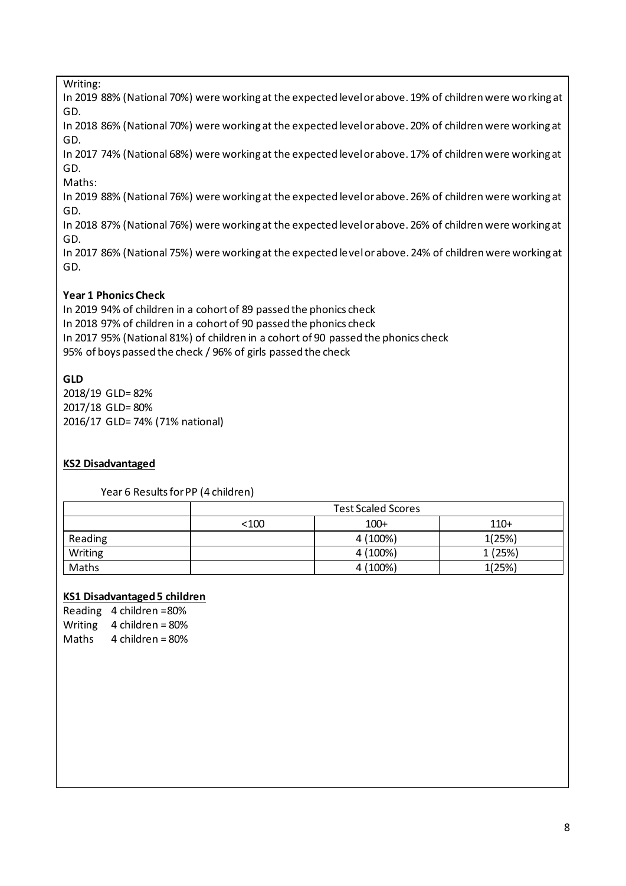Writing:

In 2019 88% (National 70%) were working at the expected level or above. 19% of children were working at GD.

In 2018 86% (National 70%) were working at the expected level or above. 20% of children were working at GD.

In 2017 74% (National 68%) were working at the expected level or above. 17% of children were working at GD.

Maths:

In 2019 88% (National 76%) were working at the expected level or above. 26% of children were working at GD.

In 2018 87% (National 76%) were working at the expected level or above. 26% of children were working at GD.

In 2017 86% (National 75%) were working at the expected level or above. 24% of children were working at GD.

### **Year 1 Phonics Check**

In 2019 94% of children in a cohort of 89 passed the phonics check In 2018 97% of children in a cohort of 90 passed the phonics check In 2017 95% (National 81%) of children in a cohort of 90 passed the phonics check 95% of boys passed the check / 96% of girls passed the check

### **GLD**

2018/19 GLD= 82% 2017/18 GLD= 80% 2016/17 GLD= 74% (71% national)

### **KS2 Disadvantaged**

Year 6 Results for PP (4 children)

|         |                          | <b>Test Scaled Scores</b> |        |  |  |  |  |  |  |  |  |  |
|---------|--------------------------|---------------------------|--------|--|--|--|--|--|--|--|--|--|
|         | $100+$<br>$110+$<br><100 |                           |        |  |  |  |  |  |  |  |  |  |
| Reading |                          | 4 (100%)                  | 1(25%) |  |  |  |  |  |  |  |  |  |
| Writing |                          | 4 (100%)                  | 1(25%) |  |  |  |  |  |  |  |  |  |
| Maths   |                          | 4 (100%)                  | 1(25%) |  |  |  |  |  |  |  |  |  |

### **KS1 Disadvantaged 5 children**

Reading 4 children =80% Writing  $4$  children = 80% Maths 4 children = 80%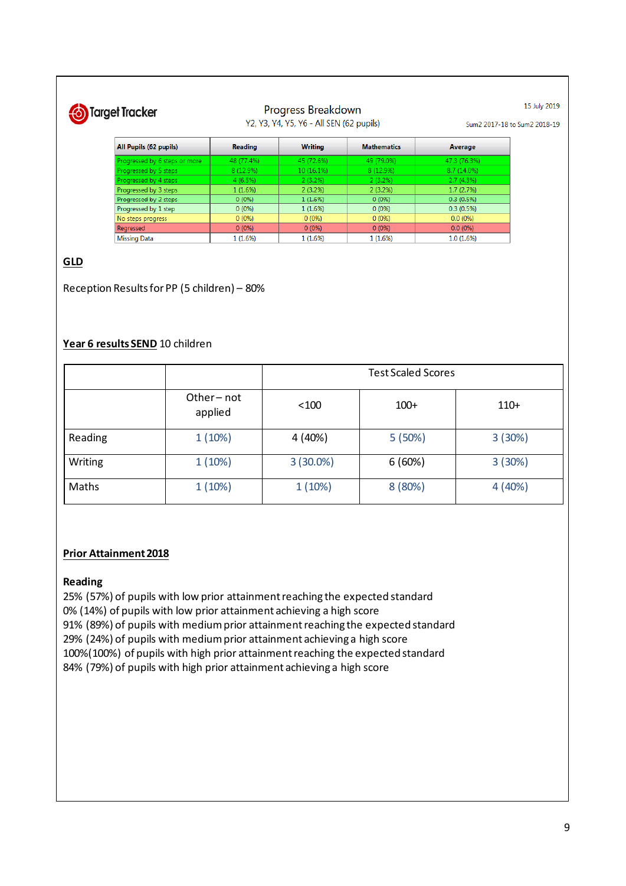# Target Tracker

#### Progress Breakdown Y2, Y3, Y4, Y5, Y6 - All SEN (62 pupils)

Sum2 2017-18 to Sum2 2018-19

15 July 2019

| All Pupils (62 pupils)        | <b>Reading</b> | <b>Writing</b> | <b>Mathematics</b> | Average      |  |  |
|-------------------------------|----------------|----------------|--------------------|--------------|--|--|
| Progressed by 6 steps or more | 48 (77.4%)     | 45 (72.6%)     | 49 (79.0%)         | 47.3 (76.3%) |  |  |
| Progressed by 5 steps         | 8(12.9%)       | 10(16.1%)      | 8(12.9%)           | 8.7 (14.0%)  |  |  |
| Progressed by 4 steps         | 4(6.5%)        | $2(3.2\%)$     | 2(3.2%)            | 2.7(4.3%)    |  |  |
| Progressed by 3 steps         | 1(1.6%)        | 2(3.2%)        | 2(3.2%)            | 1.7(2.7%)    |  |  |
| Progressed by 2 steps         | $0(0\%)$       | 1(1.6%)        | $0(0\%)$           | 0.3(0.5%)    |  |  |
| Progressed by 1 step          | $0(0\%)$       | 1(1.6%)        | $0(0\%)$           | 0.3(0.5%)    |  |  |
| No steps progress             | 0(0%           | $0(0\%)$       | $0(0\%)$           | $0.0(0\%)$   |  |  |
| Regressed                     | 0(0%           | $0(0\%)$       | $0(0\%)$           | $0.0(0\%)$   |  |  |
| <b>Missing Data</b>           | 1 (1.6%)       | 1(1.6%)        | 1 (1.6%)           | 1.0(1.6%)    |  |  |

### **GLD**

Reception Results for PP (5 children) – 80%

#### **Year 6 results SEND** 10 children

|         |                      | <b>Test Scaled Scores</b> |         |        |  |  |  |  |  |  |  |  |  |
|---------|----------------------|---------------------------|---------|--------|--|--|--|--|--|--|--|--|--|
|         | Other-not<br>applied | < 100                     | $100+$  | $110+$ |  |  |  |  |  |  |  |  |  |
| Reading | 1(10%)               | 4 (40%)                   | 5(50%)  | 3(30%) |  |  |  |  |  |  |  |  |  |
| Writing | 1(10%)               | $3(30.0\%)$               | 6(60%)  | 3(30%) |  |  |  |  |  |  |  |  |  |
| Maths   | 1(10%)               | 1(10%)                    | 8 (80%) | 4(40%) |  |  |  |  |  |  |  |  |  |

#### **Prior Attainment 2018**

#### **Reading**

25% (57%) of pupils with low prior attainment reaching the expected standard 0% (14%) of pupils with low prior attainment achieving a high score 91% (89%) of pupils with medium prior attainment reaching the expected standard 29% (24%) of pupils with medium prior attainment achieving a high score 100%(100%) of pupils with high prior attainment reaching the expected standard 84% (79%) of pupils with high prior attainment achieving a high score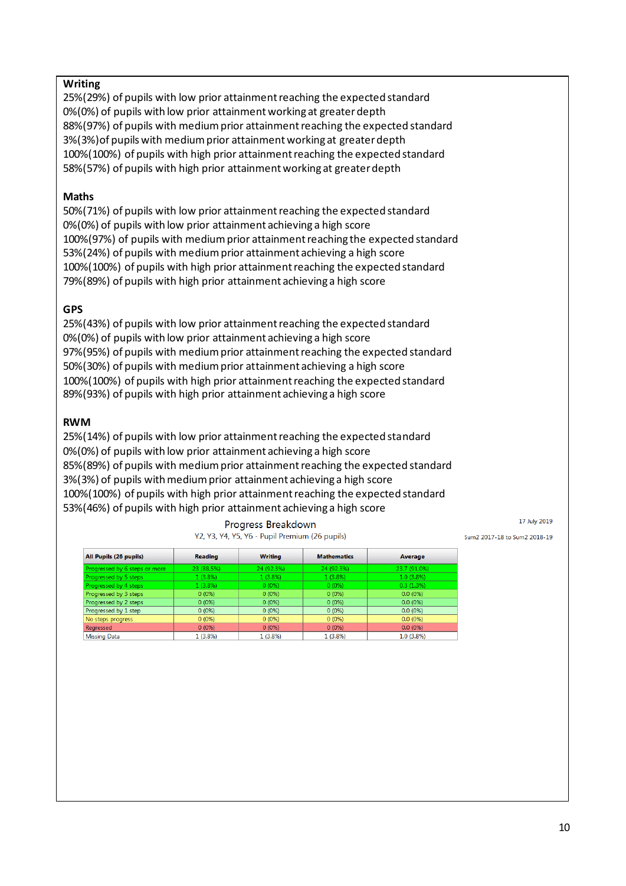#### **Writing**

25%(29%) of pupils with low prior attainment reaching the expected standard 0%(0%) of pupils with low prior attainment working at greater depth 88%(97%) of pupils with medium prior attainment reaching the expected standard 3%(3%)of pupils with medium prior attainment working at greater depth 100%(100%) of pupils with high prior attainment reaching the expected standard 58%(57%) of pupils with high prior attainment working at greater depth

#### **Maths**

50%(71%) of pupils with low prior attainment reaching the expected standard 0%(0%) of pupils with low prior attainment achieving a high score 100%(97%) of pupils with medium prior attainment reaching the expected standard 53%(24%) of pupils with medium prior attainment achieving a high score 100%(100%) of pupils with high prior attainment reaching the expected standard 79%(89%) of pupils with high prior attainment achieving a high score

#### **GPS**

25%(43%) of pupils with low prior attainment reaching the expected standard 0%(0%) of pupils with low prior attainment achieving a high score 97%(95%) of pupils with medium prior attainment reaching the expected standard 50%(30%) of pupils with medium prior attainment achieving a high score 100%(100%) of pupils with high prior attainment reaching the expected standard 89%(93%) of pupils with high prior attainment achieving a high score

#### **RWM**

25%(14%) of pupils with low prior attainment reaching the expected standard 0%(0%) of pupils with low prior attainment achieving a high score 85%(89%) of pupils with medium prior attainment reaching the expected standard 3%(3%) of pupils with medium prior attainment achieving a high score 100%(100%) of pupils with high prior attainment reaching the expected standard 53%(46%) of pupils with high prior attainment achieving a high score

| All Pupils (26 pupils)        | <b>Reading</b> | <b>Writing</b> | <b>Mathematics</b> | Average      |
|-------------------------------|----------------|----------------|--------------------|--------------|
|                               |                |                |                    |              |
| Progressed by 6 steps or more | 23 (88.5%)     | 24 (92.3%)     | 24 (92.3%)         | 23.7 (91.0%) |
| Progressed by 5 steps         | $1(3.8\%)$     | 1(3.8%)        | $1(3.8\%)$         | $1.0(3.8\%)$ |
| Progressed by 4 steps         | 1(3.8%)        | $0(0\%)$       | $0(0\%)$           | 0.3(1.3%)    |
| Progressed by 3 steps         | $0(0\%)$       | $0(0\%)$       | 0(0%               | $0.0(0\%)$   |
| Progressed by 2 steps         | $0(0\%)$       | $0(0\%)$       | 0(0%)              | $0.0(0\%)$   |
| Progressed by 1 step          | $0(0\%)$       | $0(0\%)$       | $0(0\%)$           | $0.0(0\%)$   |
| No steps progress             | $0(0\%)$       | $0(0\%)$       | 0(0%               | $0.0(0\%)$   |
| Regressed                     | $0(0\%)$       | $0(0\%)$       | 0(0%               | $0.0(0\%)$   |
| Missing Data                  | 1 (3.8%)       | 1(3.8%)        | 1 (3.8%)           | $1.0(3.8\%)$ |

#### Progress Breakdown Y2, Y3, Y4, Y5, Y6 - Pupil Premium (26 pupils)

17 July 2019

Sum2 2017-18 to Sum2 2018-19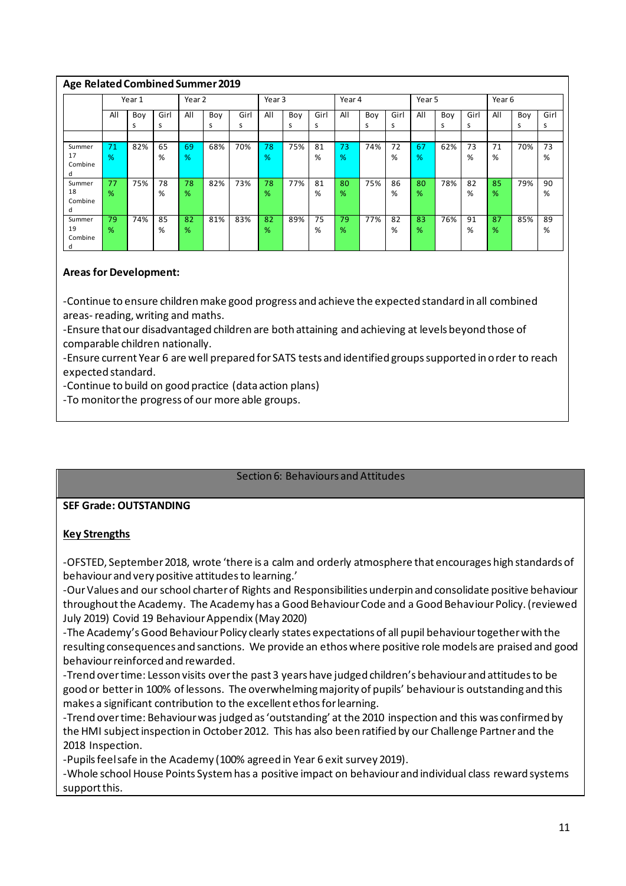|                              | Age Related Combined Summer 2019 |          |           |                     |          |           |                   |          |           |         |          |           |         |          |           |         |          |           |
|------------------------------|----------------------------------|----------|-----------|---------------------|----------|-----------|-------------------|----------|-----------|---------|----------|-----------|---------|----------|-----------|---------|----------|-----------|
|                              | Year 1                           |          |           | Year 2              |          |           | Year <sub>3</sub> |          | Year 4    |         | Year 5   |           |         | Year 6   |           |         |          |           |
|                              | All                              | Boy<br>s | Girl<br>s | All                 | Boy<br>s | Girl<br>s | All               | Boy<br>s | Girl<br>s | All     | Boy<br>s | Girl<br>s | All     | Boy<br>s | Girl<br>s | All     | Boy<br>s | Girl<br>s |
| Summer<br>17<br>Combine<br>d | 71<br>%                          | 82%      | 65<br>%   | 69<br>$\frac{9}{6}$ | 68%      | 70%       | 78<br>%           | 75%      | 81<br>%   | 73<br>% | 74%      | 72<br>%   | 67<br>% | 62%      | 73<br>%   | 71<br>% | 70%      | 73<br>%   |
| Summer<br>18<br>Combine<br>d | 77<br>$\frac{9}{6}$              | 75%      | 78<br>%   | 78<br>%             | 82%      | 73%       | 78<br>%           | 77%      | 81<br>%   | 80<br>% | 75%      | 86<br>%   | 80<br>% | 78%      | 82<br>%   | 85<br>% | 79%      | 90<br>%   |
| Summer<br>19<br>Combine<br>o | 79<br>%                          | 74%      | 85<br>%   | 82<br>%             | 81%      | 83%       | 82<br>%           | 89%      | 75<br>%   | 79<br>% | 77%      | 82<br>%   | 83<br>% | 76%      | 91<br>%   | 87<br>% | 85%      | 89<br>%   |

### **Areas for Development:**

-Continue to ensure children make good progress and achieve the expected standard in all combined areas-reading, writing and maths.

-Ensure that our disadvantaged children are both attaining and achieving at levels beyond those of comparable children nationally.

-Ensure current Year 6 are well prepared for SATS tests and identified groups supported in order to reach expected standard.

-Continue to build on good practice (data action plans)

-To monitor the progress of our more able groups.

### Section 6: Behaviours and Attitudes

#### **SEF Grade: OUTSTANDING**

### **Key Strengths**

-OFSTED, September 2018, wrote 'there is a calm and orderly atmosphere that encourages high standards of behaviour and very positive attitudes to learning.'

-Our Values and our school charter of Rights and Responsibilities underpin and consolidate positive behaviour throughout the Academy. The Academy has a Good Behaviour Code and a Good Behaviour Policy. (reviewed July 2019) Covid 19 Behaviour Appendix (May 2020)

-The Academy's Good Behaviour Policy clearly states expectations of all pupil behaviour together with the resulting consequences and sanctions. We provide an ethos where positive role models are praised and good behaviour reinforced and rewarded.

-Trend over time: Lesson visits over the past 3 years have judged children's behaviour and attitudes to be good or better in 100% of lessons. The overwhelming majority of pupils' behaviour is outstanding and this makes a significant contribution to the excellent ethos for learning.

-Trend over time: Behaviour was judged as 'outstanding' at the 2010 inspection and this was confirmed by the HMI subject inspection in October 2012. This has also been ratified by our Challenge Partner and the 2018 Inspection.

-Pupils feel safe in the Academy (100% agreed in Year 6 exit survey 2019).

-Whole school House Points System has a positive impact on behaviour and individual class reward systems support this.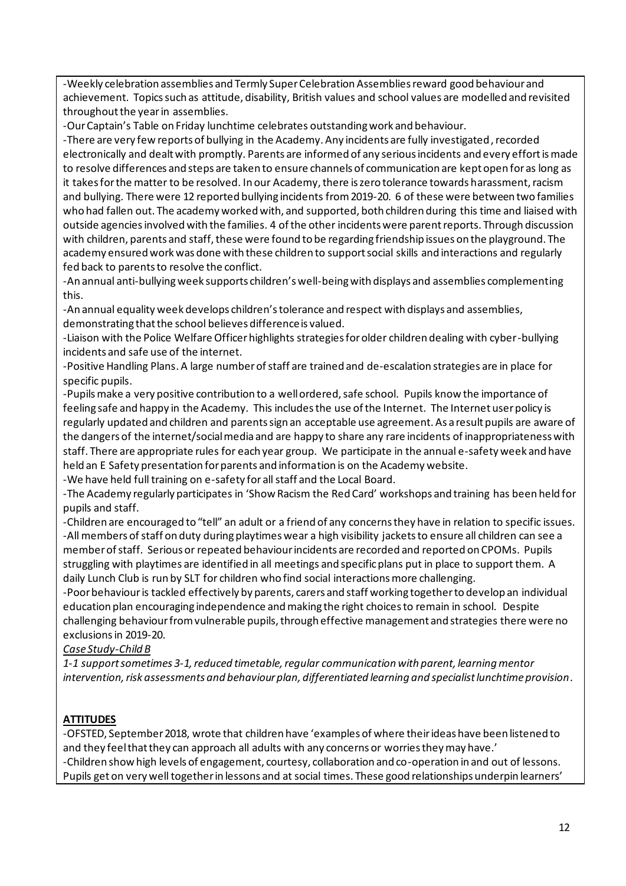-Weekly celebration assemblies and Termly Super Celebration Assemblies reward good behaviour and achievement. Topics such as attitude, disability, British values and school values are modelled and revisited throughout the year in assemblies.

-Our Captain's Table on Friday lunchtime celebrates outstanding work and behaviour.

-There are very few reports of bullying in the Academy. Any incidents are fully investigated, recorded electronically and dealt with promptly. Parents are informed of any serious incidents and every effort is made to resolve differences and steps are taken to ensure channels of communication are kept open for as long as it takes for the matter to be resolved. In our Academy, there is zero tolerance towards harassment, racism and bullying. There were 12 reported bullying incidents from 2019-20. 6 of these were between two families who had fallen out. The academy worked with, and supported, both children during this time and liaised with outside agencies involved with the families. 4 of the other incidents were parent reports. Through discussion with children, parents and staff, these were found to be regarding friendship issues on the playground. The academy ensured work was done with these children to support social skills and interactions and regularly fed back to parents to resolve the conflict.

-An annual anti-bullying week supports children's well-being with displays and assemblies complementing this.

-An annual equality week develops children's tolerance and respect with displays and assemblies, demonstrating that the school believes difference is valued.

-Liaison with the Police Welfare Officer highlights strategies for older children dealing with cyber-bullying incidents and safe use of the internet.

-Positive Handling Plans. A large number of staff are trained and de-escalation strategies are in place for specific pupils.

-Pupils make a very positive contribution to a well ordered, safe school. Pupils know the importance of feeling safe and happy in the Academy. This includes the use of the Internet. The Internet user policy is regularly updated and children and parents sign an acceptable use agreement. As a result pupils are aware of the dangers of the internet/social media and are happy to share any rare incidents of inappropriateness with staff. There are appropriate rules for each year group. We participate in the annual e-safety week and have held an E Safety presentation for parents and information is on the Academy website.

-We have held full training on e-safety for all staff and the Local Board.

-The Academy regularly participates in 'Show Racism the Red Card' workshops and training has been held for pupils and staff.

-Children are encouraged to "tell" an adult or a friend of any concerns they have in relation to specific issues. -All members of staff on duty during playtimes wear a high visibility jackets to ensure all children can see a member of staff. Serious or repeated behaviour incidents are recorded and reported on CPOMs. Pupils struggling with playtimes are identified in all meetings and specific plans put in place to support them. A daily Lunch Club is run by SLT for children who find social interactions more challenging.

-Poor behaviour is tackled effectively by parents, carers and staff working together to develop an individual education plan encouraging independence and making the right choices to remain in school. Despite challenging behaviour from vulnerable pupils, through effective management and strategies there were no exclusions in 2019-20.

### *Case Study-Child B*

*1-1 support sometimes 3-1, reduced timetable, regular communication with parent, learning mentor intervention, risk assessments and behaviour plan, differentiated learning and specialist lunchtime provision.*

### **ATTITUDES**

-OFSTED, September 2018, wrote that children have 'examples of where their ideas have been listened to and they feel that they can approach all adults with any concerns or worries they may have.' -Children show high levels of engagement, courtesy, collaboration and co-operation in and out of lessons. Pupils get on very well together in lessons and at social times. These good relationships underpin learners'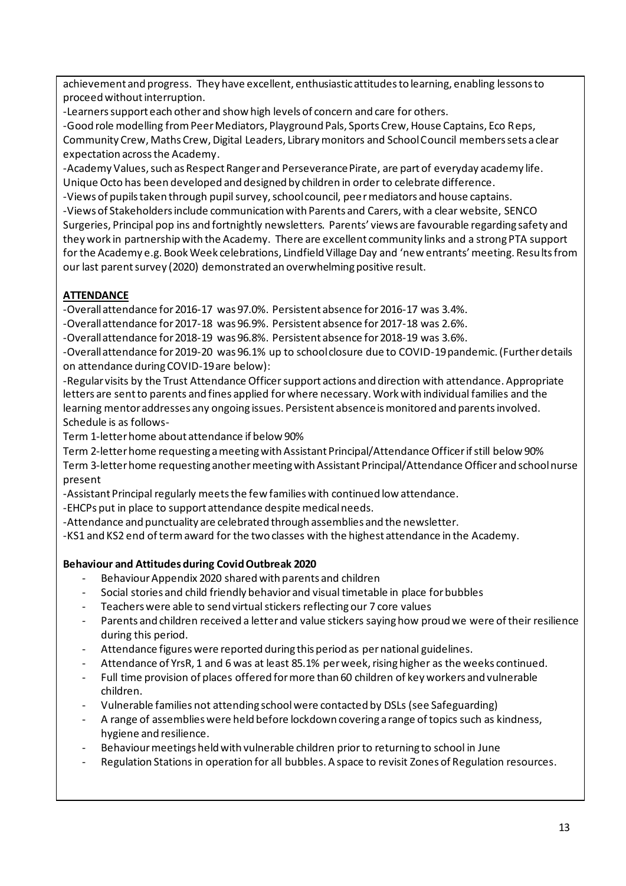achievement and progress. They have excellent, enthusiastic attitudes to learning, enabling lessons to proceed without interruption.

-Learners support each other and show high levels of concern and care for others.

-Good role modelling from Peer Mediators, Playground Pals, Sports Crew, House Captains, Eco Reps, Community Crew, Maths Crew, Digital Leaders, Library monitors and School Council members sets a clear expectation across the Academy.

-Academy Values, such as Respect Ranger and Perseverance Pirate, are part of everyday academy life. Unique Octo has been developed and designed by children in order to celebrate difference.

-Views of pupils taken through pupil survey, school council, peer mediators and house captains. -Views of Stakeholders include communication with Parents and Carers, with a clear website, SENCO Surgeries, Principal pop ins and fortnightly newsletters. Parents' views are favourable regarding safety and they work in partnership with the Academy. There are excellent community links and a strong PTA support for the Academy e.g. Book Week celebrations, Lindfield Village Day and 'new entrants' meeting. Results from our last parent survey (2020) demonstrated an overwhelming positive result.

## **ATTENDANCE**

-Overall attendance for 2016-17 was 97.0%. Persistent absence for 2016-17 was 3.4%.

- -Overall attendance for 2017-18 was 96.9%. Persistent absence for 2017-18 was 2.6%.
- -Overall attendance for 2018-19 was 96.8%. Persistent absence for 2018-19 was 3.6%.

-Overall attendance for 2019-20 was 96.1% up to school closure due to COVID-19 pandemic. (Further details on attendance during COVID-19 are below):

-Regular visits by the Trust Attendance Officer support actions and direction with attendance. Appropriate letters are sent to parents and fines applied for where necessary. Work with individual families and the learning mentor addresses any ongoing issues. Persistent absence is monitored and parents involved. Schedule is as follows-

Term 1-letter home about attendance if below 90%

Term 2-letter home requesting a meeting with Assistant Principal/Attendance Officer if still below 90% Term 3-letter home requesting another meeting with Assistant Principal/Attendance Officer and school nurse present

-Assistant Principal regularly meets the few families with continued low attendance.

-EHCPs put in place to support attendance despite medical needs.

-Attendance and punctuality are celebrated through assemblies and the newsletter.

-KS1 and KS2 end of term award for the two classes with the highest attendance in the Academy.

### **Behaviour and Attitudes during Covid Outbreak 2020**

- Behaviour Appendix 2020 shared with parents and children
- Social stories and child friendly behavior and visual timetable in place for bubbles
- Teachers were able to send virtual stickers reflecting our 7 core values
- Parents and children received a letter and value stickers saying how proud we were of their resilience during this period.
- Attendance figures were reported during this period as per national guidelines.
- Attendance of YrsR, 1 and 6 was at least 85.1% per week, rising higher as the weeks continued.
- Full time provision of places offered for more than 60 children of key workers and vulnerable children.
- Vulnerable families not attending schoolwere contacted by DSLs (see Safeguarding)
- A range of assemblies were held before lockdown covering a range of topics such as kindness, hygiene and resilience.
- Behaviour meetings held with vulnerable children prior to returning to school in June
- Regulation Stations in operation for all bubbles. A space to revisit Zones of Regulation resources.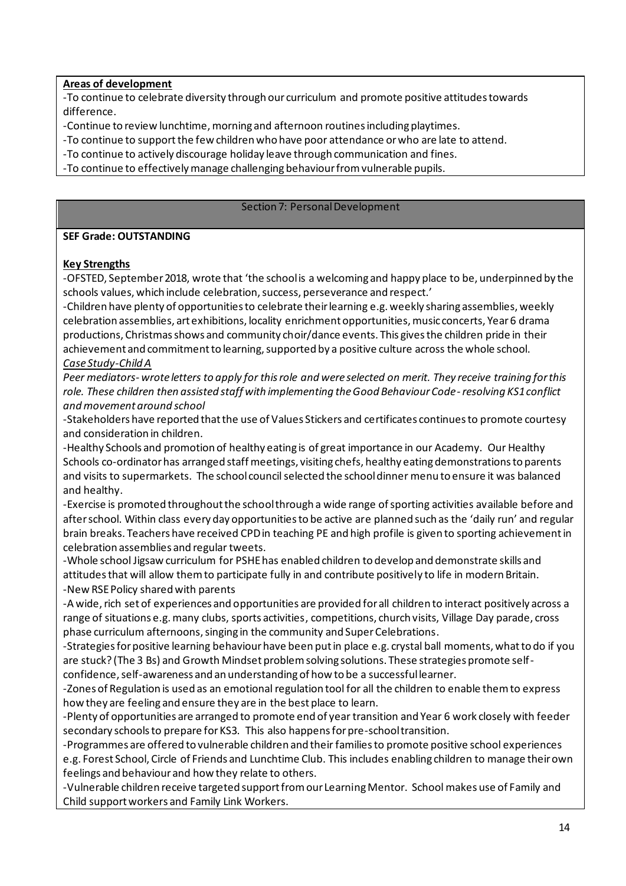#### **Areas of development**

-To continue to celebrate diversity through our curriculum and promote positive attitudes towards difference.

-Continue to review lunchtime, morning and afternoon routines including playtimes.

-To continue to support the few children who have poor attendance or who are late to attend.

-To continue to actively discourage holiday leave through communication and fines.

-To continue to effectively manage challenging behaviour from vulnerable pupils.

#### Section 7: Personal Development

#### **SEF Grade: OUTSTANDING**

#### **Key Strengths**

-OFSTED, September 2018, wrote that 'the school is a welcoming and happy place to be, underpinned by the schools values, which include celebration, success, perseverance and respect.'

-Children have plenty of opportunities to celebrate their learning e.g. weekly sharing assemblies, weekly celebration assemblies, art exhibitions, locality enrichment opportunities, music concerts, Year 6 drama productions, Christmas shows and community choir/dance events. This gives the children pride in their achievement and commitment to learning, supported by a positive culture across the whole school. *Case Study-Child A*

*Peer mediators- wrote letters to apply for this role and were selected on merit. They receive training for this role. These children then assisted staff with implementing the Good Behaviour Code-resolving KS1 conflict and movement around school*

-Stakeholders have reported that the use of Values Stickers and certificates continues to promote courtesy and consideration in children.

-Healthy Schools and promotion of healthy eating is of great importance in our Academy. Our Healthy Schools co-ordinator has arranged staff meetings, visiting chefs, healthy eating demonstrations to parents and visits to supermarkets. The school council selected the school dinner menu to ensure it was balanced and healthy.

-Exercise is promoted throughout the school through a wide range of sporting activities available before and after school. Within class every day opportunities to be active are planned such as the 'daily run' and regular brain breaks. Teachers have received CPD in teaching PE and high profile is given to sporting achievement in celebration assemblies and regular tweets.

-Whole school Jigsaw curriculum for PSHE has enabled children to develop and demonstrate skills and attitudes that will allow them to participate fully in and contribute positively to life in modern Britain. -New RSE Policy shared with parents

-A wide, rich set of experiences and opportunities are provided for all children to interact positively across a range of situations e.g. many clubs, sports activities, competitions, church visits, Village Day parade, cross phase curriculum afternoons, singing in the community and Super Celebrations.

-Strategies for positive learning behaviour have been put in place e.g. crystal ball moments, what to do if you are stuck? (The 3 Bs) and Growth Mindset problem solving solutions. These strategies promote selfconfidence, self-awareness and an understanding of how to be a successful learner.

-Zones of Regulation is used as an emotional regulation tool for all the children to enable them to express how they are feeling and ensure they are in the best place to learn.

-Plenty of opportunities are arranged to promote end of year transition and Year 6 work closely with feeder secondary schools to prepare for KS3. This also happens for pre-school transition.

-Programmes are offered to vulnerable children and their families to promote positive school experiences e.g. Forest School, Circle of Friends and Lunchtime Club. This includes enabling children to manage their own feelings and behaviour and how they relate to others.

-Vulnerable children receive targeted support from our Learning Mentor. School makes use of Family and Child support workers and Family Link Workers.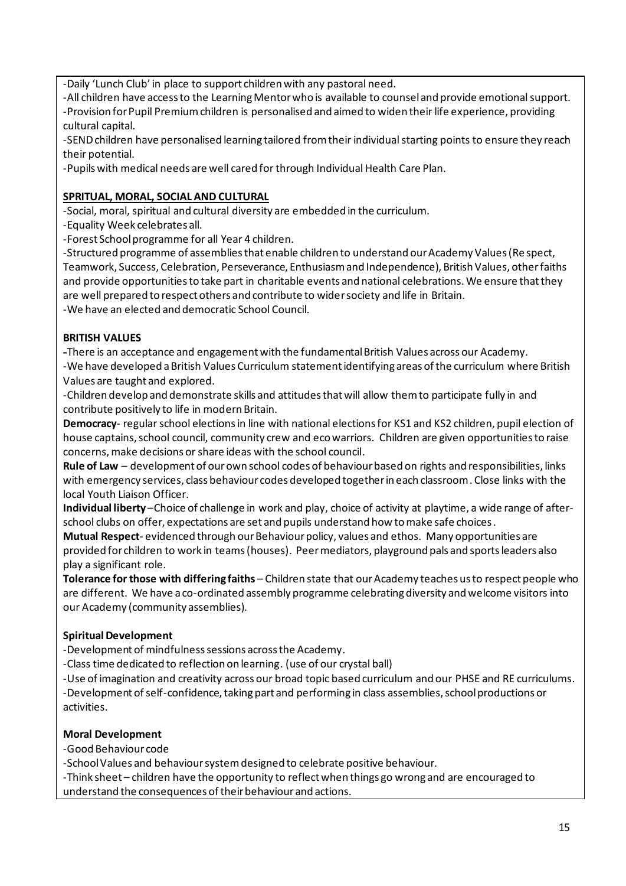-Daily 'Lunch Club' in place to support children with any pastoral need.

-All children have access to the Learning Mentor who is available to counsel and provide emotional support. -Provision for Pupil Premium children is personalised and aimed to widen their life experience, providing cultural capital.

-SEND children have personalised learning tailored from their individual starting points to ensure they reach their potential.

-Pupils with medical needs are well cared for through Individual Health Care Plan.

### **SPRITUAL, MORAL, SOCIAL AND CULTURAL**

-Social, moral, spiritual and cultural diversity are embedded in the curriculum.

-Equality Week celebrates all.

-Forest School programme for all Year 4 children.

-Structured programme of assemblies that enable children to understand our Academy Values (Re spect, Teamwork, Success, Celebration, Perseverance, Enthusiasm and Independence), British Values, other faiths and provide opportunities to take part in charitable events and national celebrations. We ensure that they are well prepared to respect others and contribute to wider society and life in Britain. -We have an elected and democratic School Council.

### **BRITISH VALUES**

**-**There is an acceptance and engagement with the fundamental British Values across our Academy. -We have developed a British Values Curriculum statement identifying areas of the curriculum where British Values are taught and explored.

-Children develop and demonstrate skills and attitudes that will allow them to participate fully in and contribute positively to life in modern Britain.

**Democracy**- regular school elections in line with national elections for KS1 and KS2 children, pupil election of house captains, school council, community crew and eco warriors. Children are given opportunities to raise concerns, make decisions or share ideas with the school council.

**Rule of Law** – development of our own school codes of behaviour based on rights and responsibilities, links with emergency services, class behaviour codes developed together in each classroom. Close links with the local Youth Liaison Officer.

**Individual liberty** –Choice of challenge in work and play, choice of activity at playtime, a wide range of afterschool clubs on offer, expectations are set and pupils understand how to make safe choices.

**Mutual Respect**- evidenced through our Behaviour policy, values and ethos. Many opportunities are provided for children to work in teams (houses). Peer mediators, playground pals and sports leaders also play a significant role.

**Tolerance for those with differing faiths** – Children state that our Academy teaches us to respect people who are different. We have a co-ordinated assembly programme celebrating diversity and welcome visitors into our Academy (community assemblies).

### **Spiritual Development**

-Development of mindfulness sessions across the Academy.

-Class time dedicated to reflection on learning. (use of our crystal ball)

-Use of imagination and creativity across our broad topic based curriculum and our PHSE and RE curriculums. -Development of self-confidence, taking part and performing in class assemblies, school productions or activities.

### **Moral Development**

-Good Behaviour code

-School Values and behaviour system designed to celebrate positive behaviour.

-Think sheet – children have the opportunity to reflect when things go wrong and are encouraged to understand the consequences of their behaviour and actions.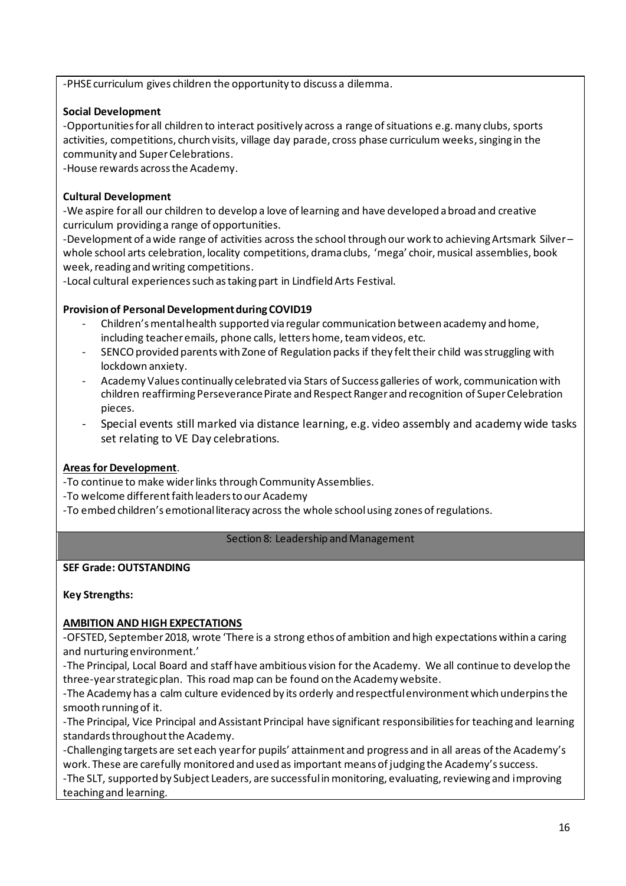-PHSE curriculum gives children the opportunity to discuss a dilemma.

### **Social Development**

-Opportunities for all children to interact positively across a range of situations e.g. many clubs, sports activities, competitions, church visits, village day parade, cross phase curriculum weeks, singing in the community and Super Celebrations.

-House rewards across the Academy.

### **Cultural Development**

-We aspire for all our children to develop a love of learning and have developed a broad and creative curriculum providing a range of opportunities.

-Development of a wide range of activities across the school through our work to achieving Artsmark Silver – whole school arts celebration, locality competitions, drama clubs, 'mega' choir, musical assemblies, book week, reading and writing competitions.

-Local cultural experiences such as taking part in Lindfield Arts Festival.

### **Provision of Personal Development during COVID19**

- Children's mental health supported via regular communication between academy and home, including teacher emails, phone calls, letters home, team videos, etc.
- SENCO provided parents with Zone of Regulation packs if they felt their child was struggling with lockdown anxiety.
- Academy Values continually celebrated via Stars of Success galleries of work, communication with children reaffirming Perseverance Pirate and Respect Ranger and recognition of Super Celebration pieces.
- Special events still marked via distance learning, e.g. video assembly and academy wide tasks set relating to VE Day celebrations.

### **Areas for Development**.

-To continue to make wider links through Community Assemblies.

- -To welcome different faith leaders to our Academy
- -To embed children's emotional literacy across the whole school using zones of regulations.

#### Section 8: Leadership and Management

#### **SEF Grade: OUTSTANDING**

**Key Strengths:**

### **AMBITION AND HIGH EXPECTATIONS**

-OFSTED, September 2018, wrote 'There is a strong ethos of ambition and high expectations within a caring and nurturing environment.'

-The Principal, Local Board and staff have ambitious vision for the Academy. We all continue to develop the three-year strategic plan. This road map can be found on the Academy website.

-The Academy has a calm culture evidenced by its orderly and respectful environment which underpins the smooth running of it.

-The Principal, Vice Principal and Assistant Principal have significant responsibilities for teaching and learning standards throughout the Academy.

-Challenging targets are set each year for pupils' attainment and progress and in all areas of the Academy's work. These are carefully monitored and used as important means of judging the Academy's success.

-The SLT, supported by Subject Leaders, are successful in monitoring, evaluating, reviewing and improving teaching and learning.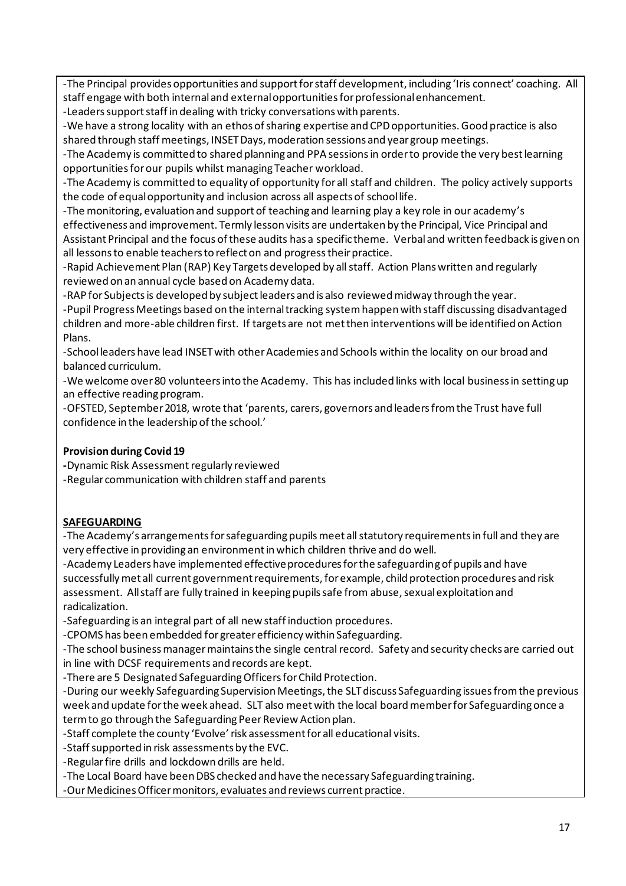-The Principal provides opportunities and support for staff development, including 'Iris connect' coaching. All staff engage with both internal and external opportunities for professional enhancement.

-Leaders support staff in dealing with tricky conversations with parents.

-We have a strong locality with an ethos of sharing expertise and CPD opportunities. Good practice is also shared through staff meetings, INSET Days, moderation sessions and year group meetings.

-The Academy is committed to shared planning and PPA sessions in order to provide the very best learning opportunities for our pupils whilst managing Teacher workload.

-The Academy is committed to equality of opportunity for all staff and children. The policy actively supports the code of equal opportunity and inclusion across all aspects of school life.

-The monitoring, evaluation and support of teaching and learning play a key role in our academy's effectiveness and improvement. Termly lesson visits are undertaken by the Principal, Vice Principal and Assistant Principal and the focus of these audits has a specific theme. Verbaland written feedback is given on all lessons to enable teachers to reflect on and progress their practice.

-Rapid Achievement Plan (RAP) Key Targets developed by all staff. Action Plans written and regularly reviewed on an annual cycle based on Academy data.

-RAP for Subjects is developed by subject leaders and is also reviewed midway through the year.

-Pupil Progress Meetings based on the internal tracking system happen with staff discussing disadvantaged children and more-able children first. If targets are not met then interventions will be identified on Action Plans.

-School leaders have lead INSET with other Academies and Schools within the locality on our broad and balanced curriculum.

-We welcome over 80 volunteers into the Academy. This has included links with local business in setting up an effective reading program.

-OFSTED, September 2018, wrote that 'parents, carers, governors and leaders from the Trust have full confidence in the leadership of the school.'

### **Provision during Covid 19**

**-**Dynamic Risk Assessmentregularly reviewed

-Regular communication with children staff and parents

### **SAFEGUARDING**

-The Academy's arrangements for safeguarding pupils meet all statutory requirements in full and they are very effective in providing an environment in which children thrive and do well.

-Academy Leaders have implemented effective procedures for the safeguarding of pupils and have successfully met all current government requirements, for example, child protection procedures and risk assessment. All staff are fully trained in keeping pupils safe from abuse, sexual exploitation and radicalization.

-Safeguarding is an integral part of all new staff induction procedures.

-CPOMS has been embedded for greater efficiency within Safeguarding.

-The school business manager maintains the single central record. Safety and security checks are carried out in line with DCSF requirements and records are kept.

-There are 5 Designated Safeguarding Officers for Child Protection.

-During our weekly Safeguarding Supervision Meetings, the SLT discuss Safeguarding issues from the previous week and update for the week ahead. SLT also meet with the local board member for Safeguarding once a term to go through the Safeguarding Peer Review Action plan.

-Staff complete the county 'Evolve' risk assessment for all educational visits.

-Staff supported in risk assessments by the EVC.

-Regular fire drills and lockdown drills are held.

-The Local Board have been DBS checked and have the necessary Safeguarding training.

-Our Medicines Officer monitors, evaluates and reviews current practice.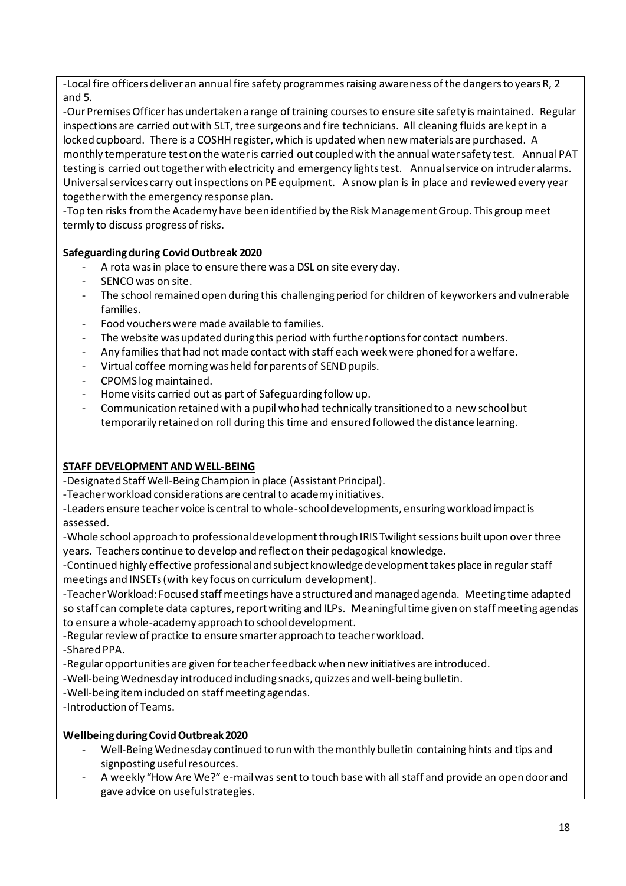-Local fire officers deliver an annual fire safety programmes raising awareness of the dangers to years R, 2 and 5.

-Our Premises Officer has undertaken a range of training courses to ensure site safety is maintained. Regular inspections are carried out with SLT, tree surgeons and fire technicians. All cleaning fluids are kept in a locked cupboard. There is a COSHH register, which is updated when new materials are purchased. A monthly temperature test on the water is carried out coupled with the annual water safety test. Annual PAT testing is carried out together with electricity and emergency lights test. Annual service on intruder alarms. Universal services carry out inspections on PE equipment. A snow plan is in place and reviewed every year together with the emergency response plan.

-Top ten risks from the Academy have been identified by the Risk Management Group. This group meet termly to discuss progress of risks.

#### **Safeguarding during Covid Outbreak 2020**

- A rota was in place to ensure there was a DSL on site every day.
- SENCO was on site.
- The school remained open during this challenging period for children of keyworkers and vulnerable families.
- Food vouchers were made available to families.
- The website was updated during this period with further options for contact numbers.
- Any families that had not made contact with staff each week were phoned for a welfare.
- Virtual coffee morning was held for parents of SEND pupils.
- CPOMS log maintained.
- Home visits carried out as part of Safeguarding follow up.
- Communication retained with a pupil who had technically transitioned to a new school but temporarily retained on roll during this time and ensured followed the distance learning.

#### **STAFF DEVELOPMENT AND WELL-BEING**

-Designated Staff Well-Being Champion in place (Assistant Principal).

-Teacher workload considerations are central to academy initiatives.

-Leaders ensure teacher voice is central to whole-school developments, ensuring workload impact is assessed.

-Whole school approach to professional development through IRIS Twilight sessions built upon over three years. Teachers continue to develop and reflect on their pedagogical knowledge.

-Continued highly effective professional and subject knowledge development takes place in regular staff meetings and INSETs (with key focus on curriculum development).

-Teacher Workload: Focused staff meetings have a structured and managed agenda. Meeting time adapted so staff can complete data captures, report writing and ILPs. Meaningful time given on staff meeting agendas to ensure a whole-academy approach to school development.

-Regular review of practice to ensure smarter approach to teacher workload.

-Shared PPA.

-Regular opportunities are given for teacher feedback when new initiatives are introduced.

-Well-being Wednesday introduced including snacks, quizzes and well-being bulletin.

-Well-being item included on staff meeting agendas.

-Introduction of Teams.

### **Wellbeing during Covid Outbreak 2020**

- Well-Being Wednesday continued to run with the monthly bulletin containing hints and tips and signposting useful resources.
- A weekly "How Are We?" e-mail was sent to touch base with all staff and provide an open door and gave advice on useful strategies.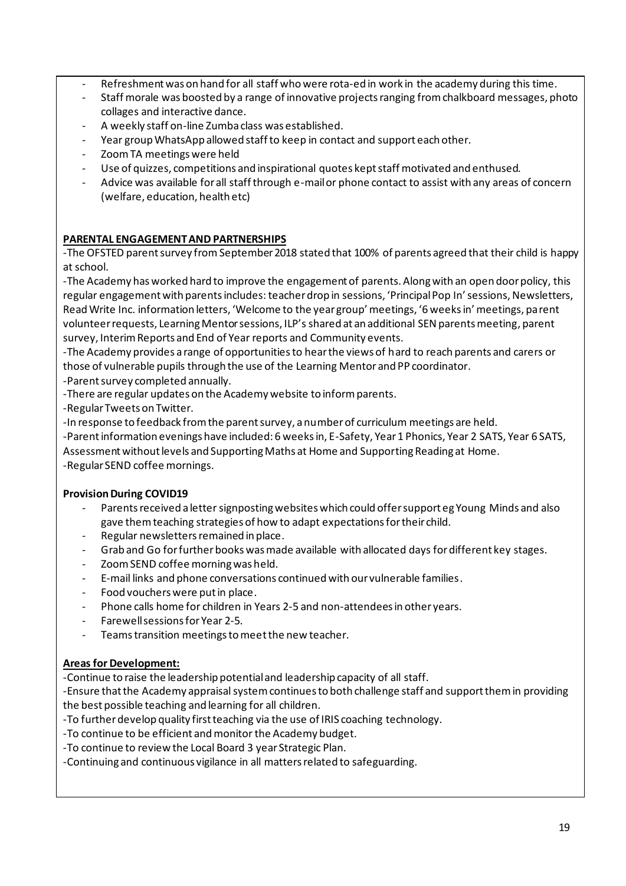- Refreshment was on hand for all staff who were rota-ed in work in the academy during this time.
- Staff morale was boosted by a range of innovative projects ranging from chalkboard messages, photo collages and interactive dance.
- A weekly staff on-line Zumba class was established.
- Year group WhatsApp allowed staff to keep in contact and support each other.
- Zoom TA meetings were held
- Use of quizzes, competitions and inspirational quotes kept staff motivated and enthused.
- Advice was available for all staff through e-mail or phone contact to assist with any areas of concern (welfare, education, health etc)

### **PARENTAL ENGAGEMENTAND PARTNERSHIPS**

-The OFSTED parent survey from September 2018 stated that 100% of parents agreed that their child is happy at school.

-The Academy has worked hard to improve the engagement of parents. Along with an open door policy, this regular engagement with parents includes: teacher drop in sessions, 'Principal Pop In' sessions, Newsletters, Read Write Inc. information letters, 'Welcome to the year group' meetings, '6 weeks in' meetings, parent volunteer requests, Learning Mentor sessions, ILP's shared at an additional SEN parents meeting, parent survey, Interim Reports and End of Year reports and Community events.

-The Academy provides a range of opportunities to hear the views of hard to reach parents and carers or those of vulnerable pupils through the use of the Learning Mentor and PP coordinator.

-Parent survey completed annually.

-There are regular updates on the Academy website to inform parents.

-Regular Tweets on Twitter.

-In response to feedback from the parent survey, a number of curriculum meetings are held.

-Parent information evenings have included: 6 weeks in, E-Safety, Year 1 Phonics, Year 2 SATS, Year 6 SATS, Assessment without levels and Supporting Maths at Home and Supporting Reading at Home.

-Regular SEND coffee mornings.

### **Provision During COVID19**

- Parents received a letter signposting websites which could offer support eg Young Minds and also gave them teaching strategies of how to adapt expectations for their child.
- Regular newsletters remained in place.
- Grab and Go for further books was made available with allocated days for different key stages.
- Zoom SEND coffee morning was held.
- E-mail links and phone conversations continued with our vulnerable families.
- Food vouchers were put in place.
- Phone calls home for children in Years 2-5 and non-attendees in other years.
- Farewell sessions for Year 2-5.
- Teams transition meetings to meet the new teacher.

### **Areas for Development:**

-Continue to raise the leadership potential and leadership capacity of all staff.

-Ensure that the Academy appraisal system continues to both challenge staff and support them in providing the best possible teaching and learning for all children.

-To further develop quality first teaching via the use of IRIS coaching technology.

-To continue to be efficient and monitor the Academy budget.

-To continue to review the Local Board 3 year Strategic Plan.

-Continuing and continuous vigilance in all matters related to safeguarding.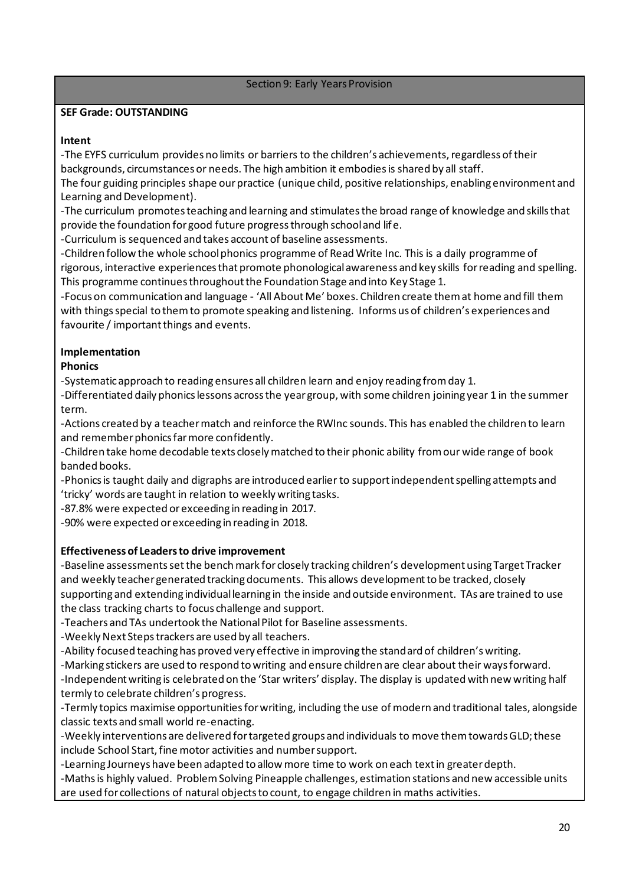#### Section 9: Early Years Provision

#### **SEF Grade: OUTSTANDING**

#### **Intent**

-The EYFS curriculum provides no limits or barriers to the children's achievements, regardless of their backgrounds, circumstances or needs. The high ambition it embodies is shared by all staff.

The four guiding principles shape our practice (unique child, positive relationships, enabling environment and Learning and Development).

-The curriculum promotes teaching and learning and stimulates the broad range of knowledge and skills that provide the foundation for good future progress through school and life.

-Curriculum is sequenced and takes account of baseline assessments.

-Children follow the whole school phonics programme of Read Write Inc. This is a daily programme of rigorous, interactive experiences that promote phonological awareness and key skills for reading and spelling. This programme continues throughout the Foundation Stage and into Key Stage 1.

-Focus on communication and language - 'All About Me' boxes. Children create them at home and fill them with things special to them to promote speaking and listening. Informs us of children's experiences and favourite / important things and events.

### **Implementation**

### **Phonics**

-Systematic approach to reading ensures all children learn and enjoy reading from day 1.

-Differentiated daily phonics lessons across the year group, with some children joining year 1 in the summer term.

-Actions created by a teacher match and reinforce the RWInc sounds. This has enabled the children to learn and remember phonics far more confidently.

-Children take home decodable texts closely matched to their phonic ability from our wide range of book banded books.

-Phonics is taught daily and digraphs are introduced earlier to support independent spelling attempts and 'tricky' words are taught in relation to weekly writing tasks.

-87.8% were expected or exceeding in reading in 2017.

-90% were expected or exceeding in reading in 2018.

### **Effectiveness of Leaders to drive improvement**

-Baseline assessments set the bench mark for closely tracking children's development using Target Tracker and weekly teacher generated tracking documents. This allows development to be tracked, closely supporting and extending individual learning in the inside and outside environment. TAs are trained to use the class tracking charts to focus challenge and support.

-Teachers and TAs undertook the National Pilot for Baseline assessments.

-Weekly Next Steps trackers are used by all teachers.

-Ability focused teaching has proved very effective in improving the standard of children's writing.

-Marking stickers are used to respond to writing and ensure children are clear about their ways forward.

-Independent writing is celebrated on the 'Star writers' display. The display is updated with new writing half termly to celebrate children's progress.

-Termly topics maximise opportunities for writing, including the use of modern and traditional tales, alongside classic texts and small world re-enacting.

-Weekly interventions are delivered for targeted groups and individuals to move them towards GLD; these include School Start, fine motor activities and number support.

-Learning Journeys have been adapted to allow more time to work on each text in greater depth.

-Maths is highly valued. Problem Solving Pineapple challenges, estimation stations and new accessible units are used for collections of natural objects to count, to engage children in maths activities.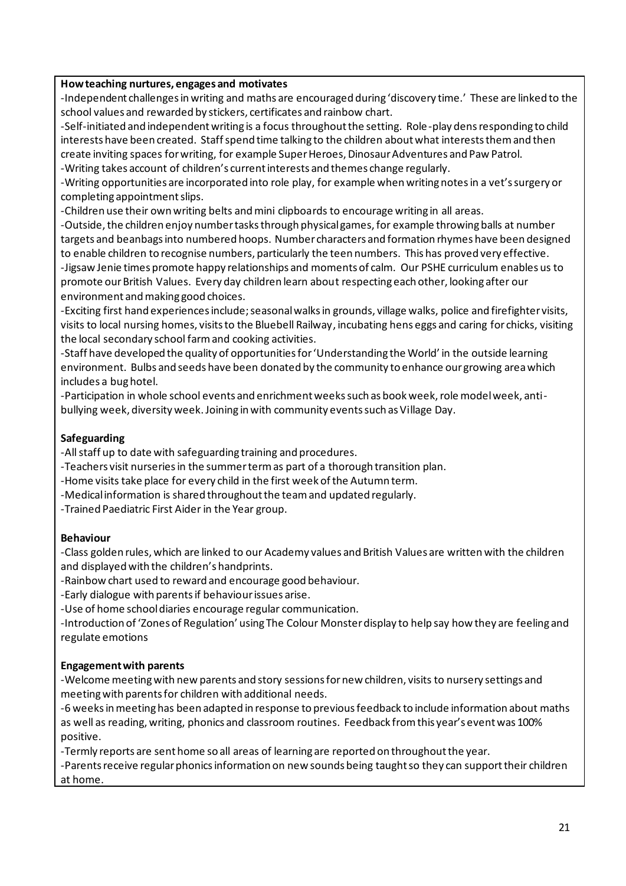#### **How teaching nurtures, engages and motivates**

-Independent challenges in writing and maths are encouraged during 'discovery time.' These are linked to the school values and rewarded by stickers, certificates and rainbow chart.

-Self-initiated and independent writing is a focus throughout the setting. Role-play dens responding to child interests have been created. Staff spend time talking to the children about what interests them and then create inviting spaces for writing, for example Super Heroes, Dinosaur Adventures and Paw Patrol. -Writing takes account of children's current interests and themes change regularly.

-Writing opportunities are incorporated into role play, for example when writing notes in a vet's surgery or completing appointment slips.

-Children use their own writing belts and mini clipboards to encourage writing in all areas.

-Outside, the children enjoy number tasks through physical games, for example throwing balls at number targets and beanbags into numbered hoops. Number characters and formation rhymes have been designed to enable children to recognise numbers, particularly the teen numbers. This has proved very effective. -Jigsaw Jenie times promote happy relationships and moments of calm. Our PSHE curriculum enables us to promote our British Values. Every day children learn about respecting each other, looking after our environment and making good choices.

-Exciting first hand experiences include; seasonal walks in grounds, village walks, police and firefighter visits, visits to local nursing homes, visits to the Bluebell Railway, incubating hens eggs and caring for chicks, visiting the local secondary school farm and cooking activities.

-Staff have developed the quality of opportunities for 'Understanding the World' in the outside learning environment. Bulbs and seeds have been donated by the community to enhance our growing area which includes a bug hotel.

-Participation in whole school events and enrichment weeks such as book week, role model week, antibullying week, diversity week. Joining in with community events such as Village Day.

#### **Safeguarding**

-All staff up to date with safeguarding training and procedures.

-Teachers visit nurseries in the summer term as part of a thorough transition plan.

-Home visits take place for every child in the first week of the Autumn term.

-Medical information is shared throughout the team and updated regularly.

-Trained Paediatric First Aider in the Year group.

#### **Behaviour**

-Class golden rules, which are linked to our Academy values and British Values are written with the children and displayed with the children's handprints.

-Rainbow chart used to reward and encourage good behaviour.

-Early dialogue with parents if behaviour issues arise.

-Use of home school diaries encourage regular communication.

-Introduction of 'Zones of Regulation' using The Colour Monster display to help say how they are feeling and regulate emotions

#### **Engagement with parents**

-Welcome meeting with new parents and story sessions for new children, visits to nursery settings and meeting with parents for children with additional needs.

-6 weeks in meeting has been adapted in response to previous feedback to include information about maths as well as reading, writing, phonics and classroom routines. Feedback from this year's event was 100% positive.

-Termly reports are sent home so all areas of learning are reported on throughout the year.

-Parents receive regular phonics information on new sounds being taught so they can support their children at home.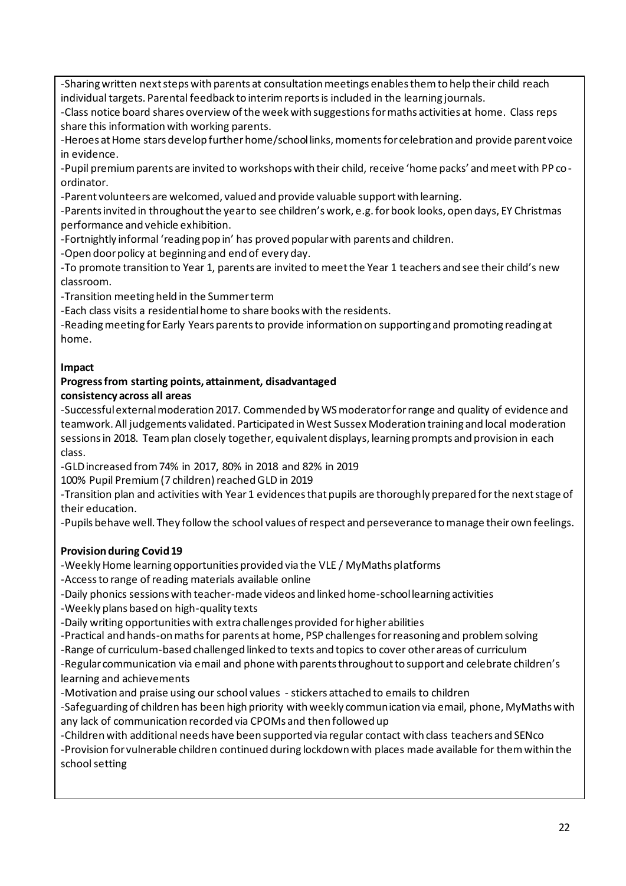-Sharing written next steps with parents at consultation meetings enables them to help their child reach individual targets. Parental feedback to interim reports is included in the learning journals.

-Class notice board shares overview of the week with suggestions for maths activities at home. Class reps share this information with working parents.

-Heroes at Home stars develop further home/school links, moments for celebration and provide parent voice in evidence.

-Pupil premium parents are invited to workshops with their child, receive 'home packs' and meet with PP coordinator.

-Parent volunteers are welcomed, valued and provide valuable support with learning.

-Parents invited in throughout the year to see children's work, e.g. for book looks, open days, EY Christmas performance and vehicle exhibition.

-Fortnightly informal 'reading pop in' has proved popular with parents and children.

-Open door policy at beginning and end of every day.

-To promote transition to Year 1, parents are invited to meet the Year 1 teachers and see their child's new classroom.

-Transition meeting held in the Summer term

-Each class visits a residential home to share books with the residents.

-Reading meeting for Early Years parents to provide information on supporting and promoting reading at home.

#### **Impact**

#### **Progress from starting points, attainment, disadvantaged consistency across all areas**

-Successful external moderation 2017. Commended by WS moderator for range and quality of evidence and teamwork. All judgements validated. Participated in West Sussex Moderation training and local moderation sessions in 2018. Team plan closely together, equivalent displays, learning prompts and provision in each class.

-GLD increased from 74% in 2017, 80% in 2018 and 82% in 2019

100% Pupil Premium (7 children) reached GLD in 2019

-Transition plan and activities with Year 1 evidences that pupils are thoroughly prepared for the next stage of their education.

-Pupils behave well. They follow the school values of respect and perseverance to manage their own feelings.

### **Provision during Covid 19**

-Weekly Home learning opportunities provided via the VLE / MyMaths platforms

-Access to range of reading materials available online

-Daily phonics sessions with teacher-made videos and linked home-school learning activities

-Weekly plans based on high-quality texts

-Daily writing opportunities with extra challenges provided for higher abilities

-Practical and hands-on maths for parents at home, PSP challenges for reasoning and problem solving

-Range of curriculum-based challenged linked to texts and topics to cover other areas of curriculum

-Regular communication via email and phone with parents throughout to support and celebrate children's learning and achievements

-Motivation and praise using our school values - stickers attached to emails to children

-Safeguarding of children has been high priority with weekly communication via email, phone, MyMaths with any lack of communication recorded via CPOMs and then followed up

-Children with additional needs have been supported via regular contact with class teachers and SENco

-Provision for vulnerable children continued during lockdown with places made available for them within the school setting